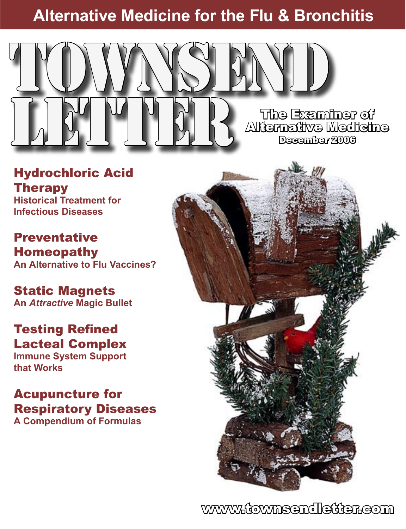## **Alternative Medicine for the Flu & Bronchitis**



Hydrochloric Acid Therapy **Historical Treatment for Infectious Diseases**

**Preventative** Homeopathy **An Alternative to Flu Vaccines?**

## Static Magnets

**An** *Attractive* **Magic Bullet**

### Testing Refined Lacteal Complex

**Immune System Support that Works**

### Acupuncture for Respiratory Diseases **A Compendium of Formulas**



www.townsendletter.com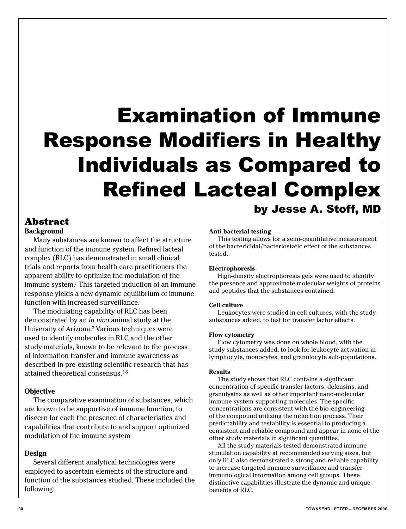# Examination of Immune Response Modifiers in Healthy Individuals as Compared to Refined Lacteal Complex by Jesse A. Stoff, MD

### Abstract

**Background**

 Many substances are known to affect the structure and function of the immune system. Refined lacteal complex (RLC) has demonstrated in small clinical trials and reports from health care practitioners the apparent ability to optimize the modulation of the immune system.1 This targeted induction of an immune response yields a new dynamic equilibrium of immune function with increased surveillance.

 The modulating capability of RLC has been demonstrated by an *in vivo* animal study at the University of Arizona.<sup>2</sup> Various techniques were used to identify molecules in RLC and the other study materials, known to be relevant to the process of information transfer and immune awareness as described in pre-existing scientific research that has attained theoretical consensus.3-5

#### **Objective**

 The comparative examination of substances, which are known to be supportive of immune function, to discern for each the presence of characteristics and capabilities that contribute to and support optimized modulation of the immune system

#### **Design**

 Several different analytical technologies were employed to ascertain elements of the structure and function of the substances studied. These included the following:

#### **Anti-bacterial testing**

 This testing allows for a semi-quantitative measurement of the bactericidal/bacteriostatic effect of the substances tested.

#### **Electrophoresis**

 High-density electrophoresis gels were used to identify the presence and approximate molecular weights of proteins and peptides that the substances contained.

#### **Cell culture**

 Leukocytes were studied in cell cultures, with the study substances added, to test for transfer factor effects.

#### **Flow cytometry**

 Flow cytometry was done on whole blood, with the study substances added, to look for leukocyte activation in lymphocyte, monocytes, and granulocyte sub-populations.

#### **Results**

 The study shows that RLC contains a significant concentration of specific transfer factors, defensins, and granulysins as well as other important nano-molecular immune system-supporting molecules. The specific concentrations are consistent with the bio-engineering of the compound utilizing the induction process. Their predictability and testability is essential to producing a consistent and reliable compound and appear in none of the other study materials in significant quantities.

 All the study materials tested demonstrated immune stimulation capability at recommended serving sizes, but only RLC also demonstrated a strong and reliable capability to increase targeted immune surveillance and transfer immunological information among cell groups. These distinctive capabilities illustrate the dynamic and unique benefits of RLC.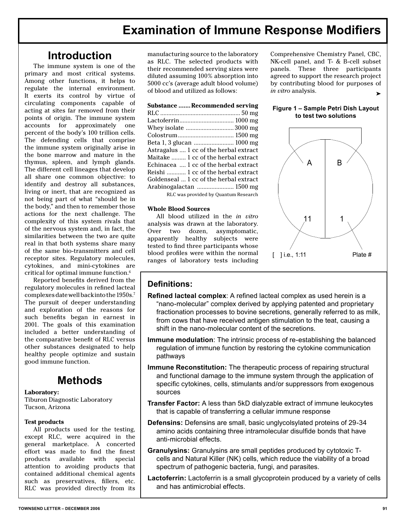### **Introduction**

 The immune system is one of the primary and most critical systems. Among other functions, it helps to regulate the internal environment. It exerts its control by virtue of circulating components capable of acting at sites far removed from their points of origin. The immune system accounts for approximately one percent of the body's 100 trillion cells. The defending cells that comprise the immune system originally arise in the bone marrow and mature in the thymus, spleen, and lymph glands. The different cell lineages that develop all share one common objective: to identify and destroy all substances, living or inert, that are recognized as not being part of what "should be in the body," and then to remember those actions for the next challenge. The complexity of this system rivals that of the nervous system and, in fact, the similarities between the two are quite real in that both systems share many of the same bio-transmitters and cell receptor sites. Regulatory molecules, cytokines, and mini-cytokines are critical for optimal immune function.6

 Reported benefits derived from the regulatory molecules in refined lacteal complexes date well back into the 1950s.7 The pursuit of deeper understanding and exploration of the reasons for such benefits began in earnest in 2001. The goals of this examination included a better understanding of the comparative benefit of RLC versus other substances designated to help healthy people optimize and sustain good immune function.

### **Methods**

#### **Laboratory:**

Tiburon Diagnostic Laboratory Tucson, Arizona

#### **Test products**

 All products used for the testing, except RLC, were acquired in the general marketplace. A concerted effort was made to find the finest products available with special attention to avoiding products that contained additional chemical agents such as preservatives, fillers, etc. RLC was provided directly from its

manufacturing source to the laboratory as RLC. The selected products with their recommended serving sizes were diluted assuming 100% absorption into 5000 cc's (average adult blood volume) of blood and utilized as follows:

#### **Substance .......Recommended serving**

RLC .................................................. 50 mg Lactoferrin .................................. 1000 mg Whey isolate .............................. 3000 mg Colostrum ................................... 1500 mg Beta 1, 3 glucan ......................... 1000 mg Astragalus .... 1 cc of the herbal extract Maitake ......... 1 cc of the herbal extract Echinacea .... 1 cc of the herbal extract Reishi ............ 1 cc of the herbal extract Goldenseal ... 1 cc of the herbal extract Arabinogalactan ....................... 1500 mg RLC was provided by Quantum Research

#### **Whole Blood Sources**

 All blood utilized in the *in vitro* analysis was drawn at the laboratory. Over two dozen, asymptomatic, apparently healthy subjects were tested to find three participants whose blood profiles were within the normal ranges of laboratory tests including Comprehensive Chemistry Panel, CBC, NK-cell panel, and T- & B-cell subset panels. These three participants agreed to support the research project by contributing blood for purposes of *in vitro* analysis. ➤

#### **Figure 1 – Sample Petri Dish Layout to test two solutions**



#### **Definitions:**

- **Refined lacteal complex**: A refined lacteal complex as used herein is a "nano-molecular" complex derived by applying patented and proprietary fractionation processes to bovine secretions, generally referred to as milk, from cows that have received antigen stimulation to the teat, causing a shift in the nano-molecular content of the secretions.
- **Immune modulation**: The intrinsic process of re-establishing the balanced regulation of immune function by restoring the cytokine communication pathways
- **Immune Reconstitution:** The therapeutic process of repairing structural and functional damage to the immune system through the application of specific cytokines, cells, stimulants and/or suppressors from exogenous sources
- **Transfer Factor:** A less than 5kD dialyzable extract of immune leukocytes that is capable of transferring a cellular immune response
- **Defensins:** Defensins are small, basic unglycolsylated proteins of 29-34 amino acids containing three intramolecular disulfide bonds that have anti-microbial effects.
- **Granulysins:** Granulysins are small peptides produced by cytotoxic Tcells and Natural Killer (NK) cells, which reduce the viability of a broad spectrum of pathogenic bacteria, fungi, and parasites.
- **Lactoferrin:** Lactoferrin is a small glycoprotein produced by a variety of cells and has antimicrobial effects.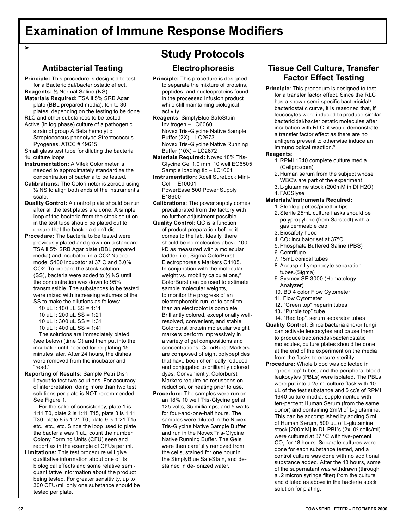#### **Antibacterial Testing**

**Principle:** This procedure is designed to test for a Bactericidal/bacteriostatic effect. **Reagents:** ½ Normal Saline (NS)

- **Materials Required:** TSA ll 5% SRB Agar plate (BBL prepared media), ten to 30 plates, depending on the testing to be done
- RLC and other substances to be tested Active (in log phase) culture of a pathogenic

strain of group A Beta hemolytic Streptococcus phenotype Streptococcus Pyogenes, ATCC # 19615

Small glass test tube for diluting the bacteria 1ul culture loops

- **Instrumentation:** A Vitek Colorimeter is needed to approximately standardize the concentration of bacteria to be tested.
- **Calibrations:** The Colorimeter is zeroed using ½ NS to align both ends of the instrument's scale.
- **Quality Control:** A control plate should be run after all the test plates are done. A simple loop of the bacteria from the stock solution in the test tube should be plated out to ensure that the bacteria didn't die.
- **Procedure:** The bacteria to be tested were previously plated and grown on a standard TSA ll 5% SRB Agar plate (BBL prepared media) and incubated in a CO2 Napco model 5400 incubator at 37 C and 5.0% CO2. To prepare the stock solution (SS), bacteria were added to ½ NS until the concentration was down to 95% transmissible. The substances to be tested were mixed with increasing volumes of the SS to make the dilutions as follows:
	- 10 uL I: 100 uL SS = 1:11
	- 10 uL  $\pm$  200 uL SS = 1:21
	- 10 uL I: 300 uL SS = 1:31
	- 10 uL I: 400 uL SS = 1:41

 The solutions are immediately plated (see below) (time O) and then put into the incubator until needed for re-plating 15 minutes later. After 24 hours, the dishes were removed from the incubator and "read."

**Reporting of Results:** Sample Petri Dish Layout to test two solutions. For accuracy of interpretation, doing more than two test solutions per plate is NOT recommended. See Figure 1.

 For the sake of consistency, plate 1 is 1:11 T0, plate 2 is 1:11 T15, plate 3 is 1:11 T30, plate 8 is 1:21 T0, plate 9 is 1:21 T15, etc., etc., etc. Since the loop used to plate the bacteria was 1 uL, count the number Colony Forming Units (CFU) seen and report as in the example of CFUs per ml.

**Limitations:** This test procedure will give qualitative information about one of its biological effects and some relative semiquantitative information about the product being tested. For greater sensitivity, up to 300 CFU/ml, only one substance should be tested per plate.

### **Study Protocols**

#### **Electrophoresis**

- **Principle:** This procedure is designed to separate the mixture of proteins, peptides, and nucleoproteins found in the processed infusion product while still maintaining biological activity.
- **Reagents**: SimplyBlue SafeStain Invitrogen – LC6060 Novex Tris-Glycine Native Sample Buffer (2X) – LC2673 Novex Tris-Glycine Native Running Buffer (10X) – LC2672
- **Materials Required:** Novex 18% Tris-Glycine Gel 1.0 mm, 10 well EC6505 Sample loading tip – LC1001
- **Instrumentation:** Xcell SureLock Mini-Cell – E10001 PowerEase 500 Power Supply E18600
- **Calibrations**: The power supply comes precalibrated from the factory with no further adjustment possible.
- **Quality Control**: QC is a function of product preparation before it comes to the lab. Ideally, there should be no molecules above 100 kD as measured with a molecular ladder, i.e., Sigma ColorBurst Electrophoresis Markers C4105. In conjunction with the molecular weight vs. mobility calculations.<sup>8</sup> ColorBurst can be used to estimate sample molecular weights, to monitor the progress of an electrophoretic run, or to confirm than an electroblot is complete. Brilliantly colored, exceptionally wellresolved, convenient, and stable, Colorburst protein molecular weight markers perform impressively in a variety of gel compositions and concentrations. ColorBurst Markers are composed of eight polypeptides that have been chemically reduced and conjugated to brilliantly colored dyes. Conveniently, Colorburst Markers require no resuspension, reduction, or heating prior to use.
- **Procedure:** The samples were run on an 18% 10 well Tris-Glycine gel at 125 volts, 35 milliamps, and 5 watts for four-and-one-half hours. The samples were diluted in the Novex Tris-Glycine Native Sample Buffer and run in the Novex Tris-Glycine Native Running Buffer. The Gels were then carefully removed from the cells, stained for one hour in the SimplyBlue SafeStain, and destained in de-ionized water.

### **Tissue Cell Culture, Transfer Factor Effect Testing**

**Principle**: This procedure is designed to test for a transfer factor effect. Since the RLC has a known semi-specific bactericidal/ bacteriostatic curve, it is reasoned that, if leucocytes were induced to produce similar bactericidal/bacteriostatic molecules after incubation with RLC, it would demonstrate a transfer factor effect as there are no antigens present to otherwise induce an immunological reaction.<sup>9</sup>

#### **Reagents**:

- 1. RPMI 1640 complete culture media (Cellgro.com)
- 2. Human serum from the subject whose WBC's are part of the experiment
- 3. L-glutamine stock (200mM in DI H2O)
- 4. FACSlyse

#### **Materials/Instruments Required:**

- 1. Sterile pipettes/pipettor tips
- 2. Sterile 25mL culture flasks should be polypropylene (from Sarstedt) with a gas permeable cap
- 3. Biosafety hood
- 4. CO2 incubator set at 37ºC
- 5. Phosphate Buffered Saline (PBS)
- 6. Centrifuge
- 7. 15mL conical tubes
- 8. Accuspin Lymphocyte separation tubes.(Sigma)
- 9. Sysmex SF-3000 (Hematology Analyzer)
- 10. BD 4 color Flow Cytometer
- 11. Flow Cytometer
- 12. "Green top" heparin tubes
- 13. "Purple top" tube
- 14. "Red top", serum separator tubes **Quality Control**: Since bacteria and/or fungi can activate leucocytes and cause them to produce bactericidal/bacteriostatic molecules, culture plates should be done at the end of the experiment on the media from the flasks to ensure sterility.
- **Procedure:** Whole blood was collected in "green top" tubes, and the peripheral blood leukocytes (PBLs) were isolated. The PBLs were put into a 25 ml culture flask with 10 uL of the test substance and 5 cc's of RPMI 1640 culture media, supplemented with ten-percent Human Serum (from the same donor) and containing 2mM of L-glutamine. This can be accomplished by adding 5 ml of Human Serum, 500 uL of L-glutamine stock [200mM] in DI. PBL's (2x10<sup>6</sup> cells/ml) were cultured at 37º C with five-percent  $\text{CO}_2$  for 18 hours. Separate cultures were done for each substance tested, and a control culture was done with no additional substance added. After the 18 hours, some of the supernatant was withdrawn (through a .2 micron syringe filter) from the culture and diluted as above in the bacteria stock solution for plating.

➤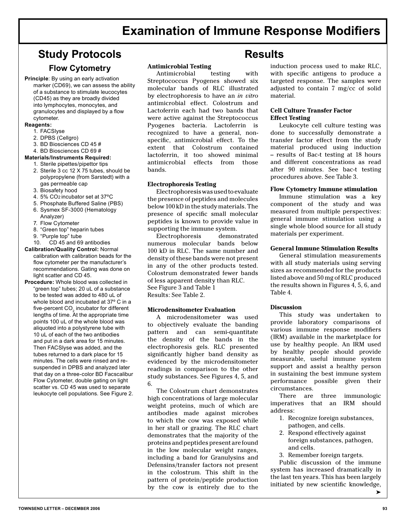### **Study Protocols Results**

#### **Flow Cytometry**

**Principle**: By using an early activation marker (CD69), we can assess the ability of a substance to stimulate leucocytes (CD45) as they are broadly divided into lymphocytes, monocytes, and granulocytes and displayed by a flow cytometer.

#### **Reagents:**

- 1. FACSlyse
- 2. DPBS (Cellgro)
- 3. BD Biosciences CD 45 #
- 4. BD Biosciences CD 69 #

#### **Materials/Instruments Required:**

- 1. Sterile pipettes/pipettor tips
- 2. Sterile 3 cc 12 X 75 tubes, should be polypropylene (from Sarstedt) with a gas permeable cap
- 3. Biosafety hood
- 4. 5% CO2 incubator set at 37ºC
- 5. Phosphate Buffered Saline (PBS) 6. Sysmex SF-3000 (Hematology Analyzer)
- 7. Flow Cytometer
- 8. "Green top" heparin tubes
- 9. "Purple top" tube
- 10. CD 45 and 69 antibodies
- **Calibration/Quality Control:** Normal calibration with calibration beads for the flow cytometer per the manufacturer's recommendations. Gating was done on light scatter and CD 45.
- **Procedure:** Whole blood was collected in "green top" tubes; 20 uL of a substance to be tested was added to 480 uL of whole blood and incubated at 37º C in a five-percent  $\mathrm{CO}_2$  incubator for different lengths of time. At the appropriate time points 100 uL of the whole blood was aliquoted into a polystyrene tube with 10 uL of each of the two antibodies and put in a dark area for 15 minutes. Then FACSlyse was added, and the tubes returned to a dark place for 15 minutes. The cells were rinsed and resuspended in DPBS and analyzed later that day on a three-color BD Facscalibur Flow Cytometer, double gating on light scatter vs. CD 45 was used to separate leukocyte cell populations. See Figure 2.

#### **Antimicrobial Testing**

 Antimicrobial testing with Streptococcus Pyogenes showed six molecular bands of RLC illustrated by electrophoresis to have an *in vitro* antimicrobial effect. Colostrum and Lactoferrin each had two bands that were active against the Streptococcus Pyogenes bacteria. Lactoferrin is recognized to have a general, nonspecific, antimicrobial effect. To the extent that Colostrum contained lactoferrin, it too showed minimal antimicrobial effects from those bands.

#### **Electrophoresis Testing**

 Electrophoresis was used to evaluate the presence of peptides and molecules below 100 kD in the study materials. The presence of specific small molecular peptides is known to provide value in supporting the immune system.

 Electrophoresis demonstrated numerous molecular bands below 100 kD in RLC. The same number and density of these bands were not present in any of the other products tested. Colostrum demonstrated fewer bands of less apparent density than RLC. See Figure 3 and Table 1 Results: See Table 2.

#### **Microdensitometer Evaluation**

 A microdensitometer was used to objectively evaluate the banding pattern and can semi-quantitate the density of the bands in the electrophoresis gels. RLC presented significantly higher band density as evidenced by the microdensitometer readings in comparison to the other study substances. See Figures 4, 5, and 6.

 The Colostrum chart demonstrates high concentrations of large molecular weight proteins, much of which are antibodies made against microbes to which the cow was exposed while in her stall or grazing. The RLC chart demonstrates that the majority of the proteins and peptides present are found in the low molecular weight ranges, including a band for Granulysins and Defensins/transfer factors not present in the colostrum. This shift in the pattern of protein/peptide production by the cow is entirely due to the

induction process used to make RLC, with specific antigens to produce a targeted response. The samples were adjusted to contain 7 mg/cc of solid material.

#### **Cell Culture Transfer Factor Effect Testing**

 Leukocyte cell culture testing was done to successfully demonstrate a transfer factor effect from the study material produced using induction – results of Bac-t testing at 18 hours and different concentrations as read after 90 minutes. See bac-t testing procedures above. See Table 3.

#### **Flow Cytometry Immune stimulation**

 Immune stimulation was a key component of the study and was measured from multiple perspectives: general immune stimulation using a single whole blood source for all study materials per experiment.

#### **General Immune Stimulation Results**

 General stimulation measurements with all study materials using serving sizes as recommended for the products listed above and 50 mg of RLC produced the results shown in Figures 4, 5, 6, and Table 4.

#### **Discussion**

 This study was undertaken to provide laboratory comparisons of various immune response modifiers (IRM) available in the marketplace for use by healthy people. An IRM used by healthy people should provide measurable, useful immune system support and assist a healthy person in sustaining the best immune system performance possible given their circumstances.

 There are three immunologic imperatives that an IRM should address:

- 1. Recognize foreign substances, pathogen, and cells.
- 2. Respond effectively against foreign substances, pathogen, and cells.
- 3. Remember foreign targets.

 Public discussion of the immune system has increased dramatically in the last ten years. This has been largely initiated by new scientific knowledge,

➤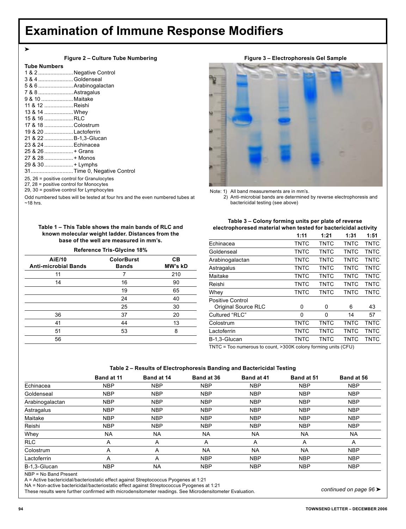|    | ÷       | ×. |         |
|----|---------|----|---------|
|    |         | v  | ۰.<br>٠ |
| ۰. | ۰.<br>v | v  |         |

| Figure 2 - Culture Tube Numbering |
|-----------------------------------|
|-----------------------------------|

#### **Tube Numbers**

| 1 & 2 Negative Control                       |  |
|----------------------------------------------|--|
| 3 & 4 Goldenseal                             |  |
| 5 & 6  Arabinogalactan                       |  |
| 7 & 8  Astragalus                            |  |
| 9 & 10  Maitake                              |  |
| 11 & 12 Reishi                               |  |
| 13 & 14  Whey                                |  |
| 15 & 16 RLC                                  |  |
| 17 & 18 Colostrum                            |  |
| 19 & 20 Lactoferrin                          |  |
| 21 & 22  B-1,3-Glucan                        |  |
| 23 & 24  Echinacea                           |  |
| 25 & 26 + Grans                              |  |
| 27 & 28  + Monos                             |  |
| 29 & 30  + Lymphs                            |  |
|                                              |  |
| 25, $26$ = positive control for Granulocytes |  |
| 27, $28$ = positive control for Monocytes    |  |
|                                              |  |

29, 30 = positive control for Lymphocytes

Odd numbered tubes will be tested at four hrs and the even numbered tubes at  $~18$  hrs.

**Table 1 – This Table shows the main bands of RLC and known molecular weight ladder. Distances from the base of the well are measured in mm's.**

#### **Reference Tris-Glycine 18%**

| AiE/10<br><b>Anti-microbial Bands</b> | <b>ColorBurst</b><br><b>Bands</b> | CВ<br>MW's kD |
|---------------------------------------|-----------------------------------|---------------|
| 11                                    |                                   | 210           |
| 14                                    | 16                                | 90            |
|                                       | 19                                | 65            |
|                                       | 24                                | 40            |
|                                       | 25                                | 30            |
| 36                                    | 37                                | 20            |
| 41                                    | 44                                | 13            |
| 51                                    | 53                                | 8             |
| 56                                    |                                   |               |

**Figure 3 – Electrophoresis Gel Sample**



Note: 1) All band measurements are in mm's.

 2) Anti-microbial bands are determined by reverse electrophoresis and bactericidal testing (see above)

#### **Table 3 – Colony forming units per plate of reverse electrophoresed material when tested for bactericidal activity**

|                     | 1:11        | 1:21        | 1:31        | 1:51        |
|---------------------|-------------|-------------|-------------|-------------|
| Echinacea           | TNTC        | <b>TNTC</b> | TNTC        | <b>TNTC</b> |
| Goldenseal          | TNTC        | <b>TNTC</b> | <b>TNTC</b> | <b>TNTC</b> |
| Arabinogalactan     | TNTC        | TNTC        | TNTC        | <b>TNTC</b> |
| Astragalus          | TNTC        | TNTC        | TNTC        | <b>TNTC</b> |
| Maitake             | TNTC        | TNTC        | TNTC        | TNTC        |
| Reishi              | TNTC        | TNTC        | TNTC        | TNTC        |
| Whey                | TNTC        | TNTC        | TNTC        | TNTC        |
| Positive Control    |             |             |             |             |
| Original Source RLC | 0           | 0           | 6           | 43          |
| Cultured "RLC"      | 0           | 0           | 14          | 57          |
| Colostrum           | <b>TNTC</b> | TNTC        | <b>TNTC</b> | <b>TNTC</b> |
| Lactoferrin         | TNTC        | TNTC        | <b>TNTC</b> | <b>TNTC</b> |
| B-1.3-Glucan        | TNTC        | TNTC        | TNTC        | TNTC        |

TNTC = Too numerous to count, >300K colony forming units (CFU)

#### **Table 2 – Results of Electrophoresis Banding and Bactericidal Testing**

|                 | Band at 11 | Band at 14 | Band at 36 | Band at 41 | Band at 51 | Band at 56 |
|-----------------|------------|------------|------------|------------|------------|------------|
| Echinacea       | <b>NBP</b> | <b>NBP</b> | <b>NBP</b> | <b>NBP</b> | <b>NBP</b> | <b>NBP</b> |
| Goldenseal      | <b>NBP</b> | <b>NBP</b> | <b>NBP</b> | <b>NBP</b> | <b>NBP</b> | <b>NBP</b> |
| Arabinogalactan | <b>NBP</b> | <b>NBP</b> | <b>NBP</b> | <b>NBP</b> | <b>NBP</b> | <b>NBP</b> |
| Astragalus      | <b>NBP</b> | <b>NBP</b> | <b>NBP</b> | <b>NBP</b> | <b>NBP</b> | <b>NBP</b> |
| Maitake         | <b>NBP</b> | <b>NBP</b> | <b>NBP</b> | <b>NBP</b> | <b>NBP</b> | <b>NBP</b> |
| Reishi          | <b>NBP</b> | <b>NBP</b> | <b>NBP</b> | <b>NBP</b> | <b>NBP</b> | <b>NBP</b> |
| Whey            | <b>NA</b>  | <b>NA</b>  | NA         | NA         | <b>NA</b>  | <b>NA</b>  |
| <b>RLC</b>      | Α          | A          | A          | A          | A          | A          |
| Colostrum       | A          | A          | <b>NA</b>  | <b>NA</b>  | <b>NA</b>  | <b>NBP</b> |
| Lactoferrin     | Α          | A          | <b>NBP</b> | <b>NBP</b> | <b>NBP</b> | <b>NBP</b> |
| B-1.3-Glucan    | <b>NBP</b> | <b>NA</b>  | <b>NBP</b> | <b>NBP</b> | <b>NBP</b> | <b>NBP</b> |

NBP = No Band Present

A = Active bactericidal/bacteriostatic effect against Streptococcus Pyogenes at 1:21

NA = Non-active bactericidal/bacteriostatic effect against Streptococcus Pyogenes at 1:21

These results were further confirmed with microdensitometer readings. See Microdensitometer Evaluation.

*continued on page 96* ➤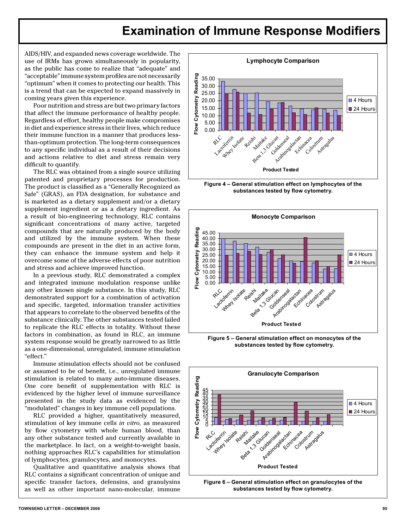AIDS/HIV, and expanded news coverage worldwide. The use of IRMs has grown simultaneously in popularity, as the public has come to realize that "adequate" and "acceptable" immune system profiles are not necessarily "optimum" when it comes to protecting our health. This is a trend that can be expected to expand massively in coming years given this experience.

Poor nutrition and stress are but two primary factors that affect the immune performance of healthy people. Regardless of effort, healthy people make compromises in diet and experience stress in their lives, which reduce their immune function in a manner that produces lessthan-optimum protection. The long-term consequences to any specific individual as a result of their decisions and actions relative to diet and stress remain very difficult to quantify.

The RLC was obtained from a single source utilizing patented and proprietary processes for production. The product is classified as a "Generally Recognized as Safe" (GRAS), an FDA designation, for substance and is marketed as a dietary supplement and/or a dietary supplement ingredient or as a dietary ingredient. As a result of bio-engineering technology, RLC contains significant concentrations of many active, targeted compounds that are naturally produced by the body and utilized by the immune system. When these compounds are present in the diet in an active form, they can enhance the immune system and help it overcome some of the adverse effects of poor nutrition and stress and achieve improved function.

In a previous study, RLC demonstrated a complex and integrated immune modulation response unlike any other known single substance. In this study, RLC demonstrated support for a combination of activation and specific, targeted, information transfer activities that appears to correlate to the observed benefits of the substance clinically. The other substances tested failed to replicate the RLC effects in totality. Without these factors in combination, as found in RLC, an immune system response would be greatly narrowed to as little as a one-dimensional, unregulated, immune stimulation "effect."

Immune stimulation effects should not be confused or assumed to be of benefit, i.e., unregulated immune stimulation is related to many auto-immune diseases. One core benefit of supplementation with RLC is evidenced by the higher level of immune surveillance presented in the study data as evidenced by the "modulated" changes in key immune cell populations.

RLC provided a higher, quantitatively measured, stimulation of key immune cells in vitro, as measured by flow cytometry with whole human blood, than any other substance tested and currently available in the marketplace. In fact, on a weight-to-weight basis, nothing approaches RLC's capabilities for stimulation of lymphocytes, granulocytes, and monocytes.

Qualitative and quantitative analysis shows that RLC contains a significant concentration of unique and specific transfer factors, defensins, and granulysins as well as other important nano-molecular, immune



Figure 4 - General stimulation effect on lymphocytes of the substances tested by flow cytometry.



Figure 5 - General stimulation effect on monocytes of the substances tested by flow cytometry.



Figure 6 - General stimulation effect on granulocytes of the substances tested by flow cytometry.